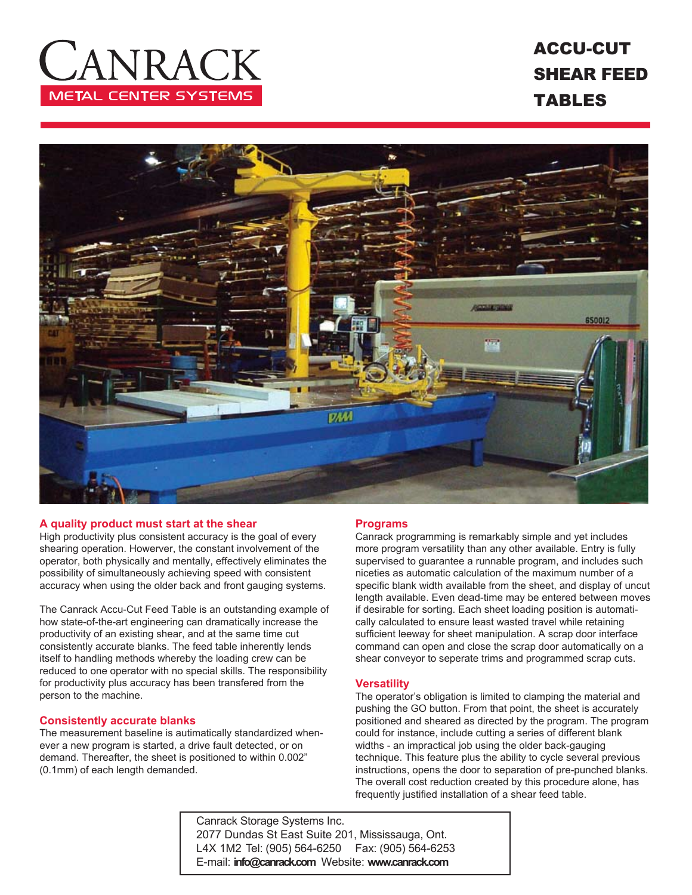# ANRACI **METAL CENTER SYSTEMS**

## ACCU-CUT SHEAR FEED TABLES



#### **A quality product must start at the shear**

High productivity plus consistent accuracy is the goal of every shearing operation. Howerver, the constant involvement of the operator, both physically and mentally, effectively eliminates the possibility of simultaneously achieving speed with consistent accuracy when using the older back and front gauging systems.

The Canrack Accu-Cut Feed Table is an outstanding example of how state-of-the-art engineering can dramatically increase the productivity of an existing shear, and at the same time cut consistently accurate blanks. The feed table inherently lends itself to handling methods whereby the loading crew can be reduced to one operator with no special skills. The responsibility for productivity plus accuracy has been transfered from the person to the machine.

#### **Consistently accurate blanks**

The measurement baseline is autimatically standardized whenever a new program is started, a drive fault detected, or on demand. Thereafter, the sheet is positioned to within 0.002" (0.1mm) of each length demanded.

#### **Programs**

Canrack programming is remarkably simple and yet includes more program versatility than any other available. Entry is fully supervised to guarantee a runnable program, and includes such niceties as automatic calculation of the maximum number of a specific blank width available from the sheet, and display of uncut length available. Even dead-time may be entered between moves if desirable for sorting. Each sheet loading position is automatically calculated to ensure least wasted travel while retaining sufficient leeway for sheet manipulation. A scrap door interface command can open and close the scrap door automatically on a shear conveyor to seperate trims and programmed scrap cuts.

#### **Versatility**

The operator's obligation is limited to clamping the material and pushing the GO button. From that point, the sheet is accurately positioned and sheared as directed by the program. The program could for instance, include cutting a series of different blank widths - an impractical job using the older back-gauging technique. This feature plus the ability to cycle several previous instructions, opens the door to separation of pre-punched blanks. The overall cost reduction created by this procedure alone, has frequently justified installation of a shear feed table.

Canrack Storage Systems Inc. 2077 Dundas St East Suite 201, Mississauga, Ont. L4X 1M2 Tel: (905) 564-6250 Fax: (905) 564-6253 E-mail: **info@canrack.com** Website: **www.canrack.com**